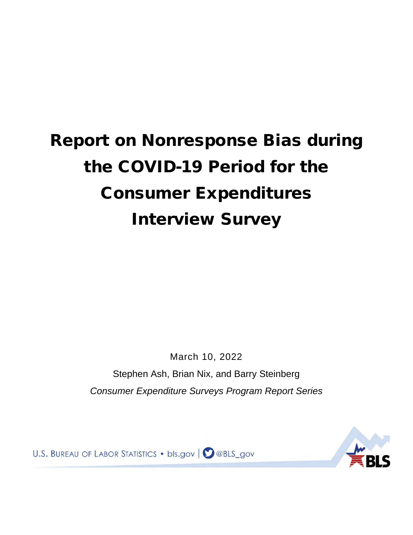# Report on Nonresponse Bias during the COVID-19 Period for the Consumer Expenditures Interview Survey

March 10, 2022 Stephen Ash, Brian Nix, and Barry Steinberg *Consumer Expenditure Surveys Program Report Series*

U.S. BUREAU OF LABOR STATISTICS . bls.gov | 2 @BLS\_gov

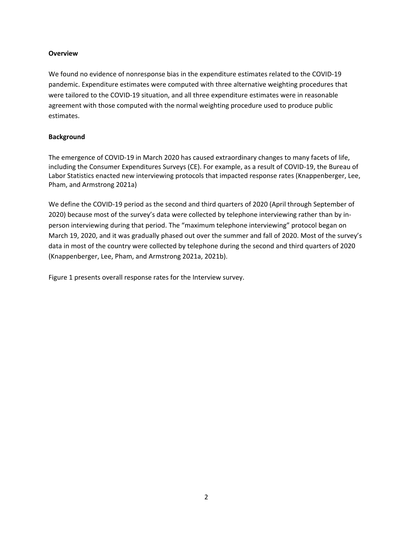# **Overview**

We found no evidence of nonresponse bias in the expenditure estimates related to the COVID-19 pandemic. Expenditure estimates were computed with three alternative weighting procedures that were tailored to the COVID-19 situation, and all three expenditure estimates were in reasonable agreement with those computed with the normal weighting procedure used to produce public estimates.

# **Background**

The emergence of COVID-19 in March 2020 has caused extraordinary changes to many facets of life, including the Consumer Expenditures Surveys (CE). For example, as a result of COVID-19, the Bureau of Labor Statistics enacted new interviewing protocols that impacted response rates (Knappenberger, Lee, Pham, and Armstrong 2021a)

We define the COVID-19 period as the second and third quarters of 2020 (April through September of 2020) because most of the survey's data were collected by telephone interviewing rather than by inperson interviewing during that period. The "maximum telephone interviewing" protocol began on March 19, 2020, and it was gradually phased out over the summer and fall of 2020. Most of the survey's data in most of the country were collected by telephone during the second and third quarters of 2020 (Knappenberger, Lee, Pham, and Armstrong 2021a, 2021b).

[Figure 1](#page-2-0) presents overall response rates for the Interview survey.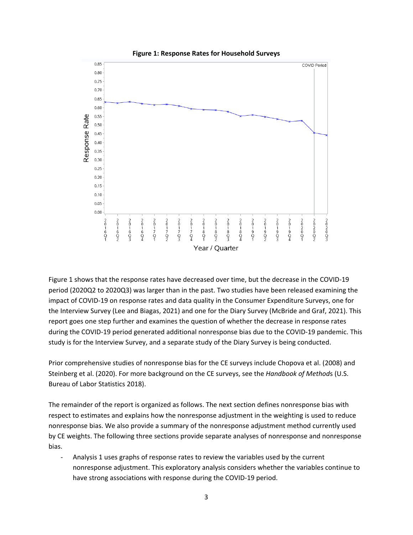<span id="page-2-0"></span>

**Figure 1: Response Rates for Household Surveys**

[Figure 1](#page-2-0) shows that the response rates have decreased over time, but the decrease in the COVID-19 period (2020Q2 to 2020Q3) was larger than in the past. Two studies have been released examining the impact of COVID-19 on response rates and data quality in the Consumer Expenditure Surveys, one for the Interview Survey (Lee and Biagas, 2021) and one for the Diary Survey (McBride and Graf, 2021). This report goes one step further and examines the question of whether the decrease in response rates during the COVID-19 period generated additional nonresponse bias due to the COVID-19 pandemic. This study is for the Interview Survey, and a separate study of the Diary Survey is being conducted.

Prior comprehensive studies of nonresponse bias for the CE surveys include Chopova et al. (2008) and Steinberg et al. (2020). For more background on the CE surveys, see the *Handbook of Method*s (U.S. Bureau of Labor Statistics 2018).

The remainder of the report is organized as follows. The next section defines nonresponse bias with respect to estimates and explains how the nonresponse adjustment in the weighting is used to reduce nonresponse bias. We also provide a summary of the nonresponse adjustment method currently used by CE weights. The following three sections provide separate analyses of nonresponse and nonresponse bias.

- Analysis 1 uses graphs of response rates to review the variables used by the current nonresponse adjustment. This exploratory analysis considers whether the variables continue to have strong associations with response during the COVID-19 period.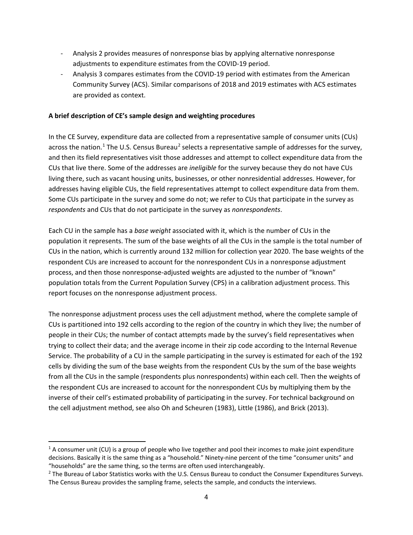- Analysis 2 provides measures of nonresponse bias by applying alternative nonresponse adjustments to expenditure estimates from the COVID-19 period.
- Analysis 3 compares estimates from the COVID-19 period with estimates from the American Community Survey (ACS). Similar comparisons of 2018 and 2019 estimates with ACS estimates are provided as context.

# **A brief description of CE's sample design and weighting procedures**

In the CE Survey, expenditure data are collected from a representative sample of consumer units (CUs) across the nation.<sup>[1](#page-3-0)</sup> The U.S. Census Bureau<sup>[2](#page-3-1)</sup> selects a representative sample of addresses for the survey, and then its field representatives visit those addresses and attempt to collect expenditure data from the CUs that live there. Some of the addresses are *ineligible* for the survey because they do not have CUs living there, such as vacant housing units, businesses, or other nonresidential addresses. However, for addresses having eligible CUs, the field representatives attempt to collect expenditure data from them. Some CUs participate in the survey and some do not; we refer to CUs that participate in the survey as *respondents* and CUs that do not participate in the survey as *nonrespondents*.

Each CU in the sample has a *base weight* associated with it, which is the number of CUs in the population it represents. The sum of the base weights of all the CUs in the sample is the total number of CUs in the nation, which is currently around 132 million for collection year 2020. The base weights of the respondent CUs are increased to account for the nonrespondent CUs in a nonresponse adjustment process, and then those nonresponse-adjusted weights are adjusted to the number of "known" population totals from the Current Population Survey (CPS) in a calibration adjustment process. This report focuses on the nonresponse adjustment process.

The nonresponse adjustment process uses the cell adjustment method, where the complete sample of CUs is partitioned into 192 cells according to the region of the country in which they live; the number of people in their CUs; the number of contact attempts made by the survey's field representatives when trying to collect their data; and the average income in their zip code according to the Internal Revenue Service. The probability of a CU in the sample participating in the survey is estimated for each of the 192 cells by dividing the sum of the base weights from the respondent CUs by the sum of the base weights from all the CUs in the sample (respondents plus nonrespondents) within each cell. Then the weights of the respondent CUs are increased to account for the nonrespondent CUs by multiplying them by the inverse of their cell's estimated probability of participating in the survey. For technical background on the cell adjustment method, see also Oh and Scheuren (1983), Little (1986), and Brick (2013).

<span id="page-3-0"></span> $1$  A consumer unit (CU) is a group of people who live together and pool their incomes to make joint expenditure decisions. Basically it is the same thing as a "household." Ninety-nine percent of the time "consumer units" and "households" are the same thing, so the terms are often used interchangeably.<br><sup>2</sup> The Bureau of Labor Statistics works with the U.S. Census Bureau to conduct the Consumer Expenditures Surveys.

<span id="page-3-1"></span>The Census Bureau provides the sampling frame, selects the sample, and conducts the interviews.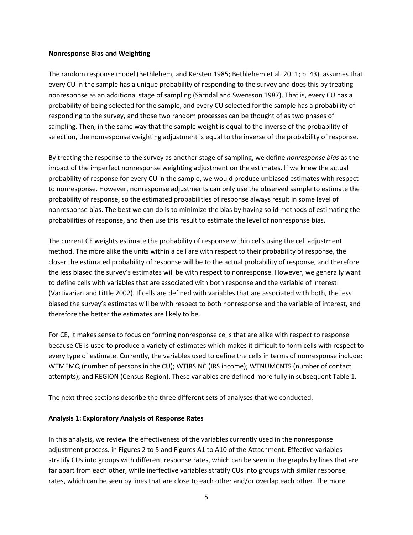#### **Nonresponse Bias and Weighting**

The random response model (Bethlehem, and Kersten 1985; Bethlehem et al. 2011; p. 43), assumes that every CU in the sample has a unique probability of responding to the survey and does this by treating nonresponse as an additional stage of sampling (Sӓrndal and Swensson 1987). That is, every CU has a probability of being selected for the sample, and every CU selected for the sample has a probability of responding to the survey, and those two random processes can be thought of as two phases of sampling. Then, in the same way that the sample weight is equal to the inverse of the probability of selection, the nonresponse weighting adjustment is equal to the inverse of the probability of response.

By treating the response to the survey as another stage of sampling, we define *nonresponse bias* as the impact of the imperfect nonresponse weighting adjustment on the estimates. If we knew the actual probability of response for every CU in the sample, we would produce unbiased estimates with respect to nonresponse. However, nonresponse adjustments can only use the observed sample to estimate the probability of response, so the estimated probabilities of response always result in some level of nonresponse bias. The best we can do is to minimize the bias by having solid methods of estimating the probabilities of response, and then use this result to estimate the level of nonresponse bias.

The current CE weights estimate the probability of response within cells using the cell adjustment method. The more alike the units within a cell are with respect to their probability of response, the closer the estimated probability of response will be to the actual probability of response, and therefore the less biased the survey's estimates will be with respect to nonresponse. However, we generally want to define cells with variables that are associated with both response and the variable of interest (Vartivarian and Little 2002). If cells are defined with variables that are associated with both, the less biased the survey's estimates will be with respect to both nonresponse and the variable of interest, and therefore the better the estimates are likely to be.

For CE, it makes sense to focus on forming nonresponse cells that are alike with respect to response because CE is used to produce a variety of estimates which makes it difficult to form cells with respect to every type of estimate. Currently, the variables used to define the cells in terms of nonresponse include: WTMEMQ (number of persons in the CU); WTIRSINC (IRS income); WTNUMCNTS (number of contact attempts); and REGION (Census Region). These variables are defined more fully in subsequent [Table 1.](#page-10-0) 

The next three sections describe the three different sets of analyses that we conducted.

# **Analysis 1: Exploratory Analysis of Response Rates**

In this analysis, we review the effectiveness of the variables currently used in the nonresponse adjustment process. in Figures 2 to 5 and Figures A1 to A10 of the Attachment. Effective variables stratify CUs into groups with different response rates, which can be seen in the graphs by lines that are far apart from each other, while ineffective variables stratify CUs into groups with similar response rates, which can be seen by lines that are close to each other and/or overlap each other. The more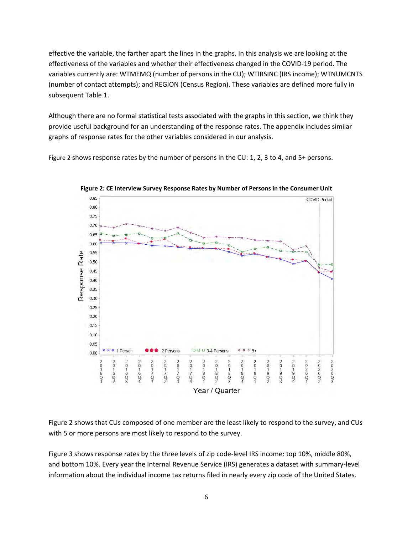effective the variable, the farther apart the lines in the graphs. In this analysis we are looking at the effectiveness of the variables and whether their effectiveness changed in the COVID-19 period. The variables currently are: WTMEMQ (number of persons in the CU); WTIRSINC (IRS income); WTNUMCNTS (number of contact attempts); and REGION (Census Region). These variables are defined more fully in subsequen[t Table 1.](#page-10-0)

Although there are no formal statistical tests associated with the graphs in this section, we think they provide useful background for an understanding of the response rates. The appendix includes similar graphs of response rates for the other variables considered in our analysis.

<span id="page-5-0"></span>[Figure 2](#page-5-0) shows response rates by the number of persons in the CU: 1, 2, 3 to 4, and 5+ persons.



**Figure 2: CE Interview Survey Response Rates by Number of Persons in the Consumer Unit**

[Figure 2](#page-5-0) shows that CUs composed of one member are the least likely to respond to the survey, and CUs with 5 or more persons are most likely to respond to the survey.

[Figure 3](#page-6-0) shows response rates by the three levels of zip code-level IRS income: top 10%, middle 80%, and bottom 10%. Every year the Internal Revenue Service (IRS) generates a dataset with summary-level information about the individual income tax returns filed in nearly every zip code of the United States.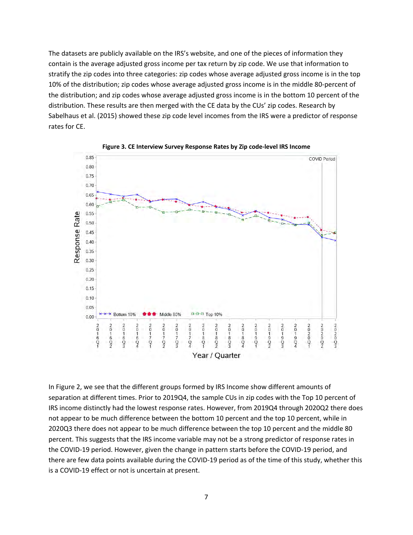The datasets are publicly available on the IRS's website, and one of the pieces of information they contain is the average adjusted gross income per tax return by zip code. We use that information to stratify the zip codes into three categories: zip codes whose average adjusted gross income is in the top 10% of the distribution; zip codes whose average adjusted gross income is in the middle 80-percent of the distribution; and zip codes whose average adjusted gross income is in the bottom 10 percent of the distribution. These results are then merged with the CE data by the CUs' zip codes. Research by Sabelhaus et al. (2015) showed these zip code level incomes from the IRS were a predictor of response rates for CE.

<span id="page-6-0"></span>



In [Figure 2,](#page-5-0) we see that the different groups formed by IRS Income show different amounts of separation at different times. Prior to 2019Q4, the sample CUs in zip codes with the Top 10 percent of IRS income distinctly had the lowest response rates. However, from 2019Q4 through 2020Q2 there does not appear to be much difference between the bottom 10 percent and the top 10 percent, while in 2020Q3 there does not appear to be much difference between the top 10 percent and the middle 80 percent. This suggests that the IRS income variable may not be a strong predictor of response rates in the COVID-19 period. However, given the change in pattern starts before the COVID-19 period, and there are few data points available during the COVID-19 period as of the time of this study, whether this is a COVID-19 effect or not is uncertain at present.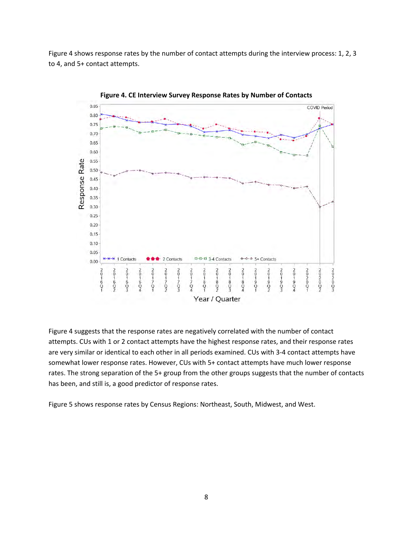[Figure 4](#page-7-0) shows response rates by the number of contact attempts during the interview process: 1, 2, 3 to 4, and 5+ contact attempts.

<span id="page-7-0"></span>

**Figure 4. CE Interview Survey Response Rates by Number of Contacts**

[Figure 4](#page-7-0) suggests that the response rates are negatively correlated with the number of contact attempts. CUs with 1 or 2 contact attempts have the highest response rates, and their response rates are very similar or identical to each other in all periods examined. CUs with 3-4 contact attempts have somewhat lower response rates. However, CUs with 5+ contact attempts have much lower response rates. The strong separation of the 5+ group from the other groups suggests that the number of contacts has been, and still is, a good predictor of response rates.

[Figure 5](#page-8-0) shows response rates by Census Regions: Northeast, South, Midwest, and West.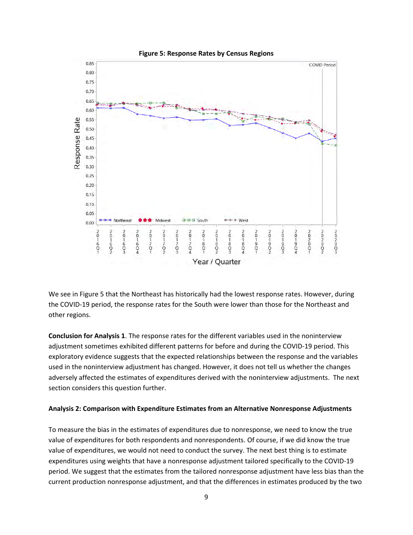<span id="page-8-0"></span>

We see in [Figure 5](#page-8-0) that the Northeast has historically had the lowest response rates. However, during the COVID-19 period, the response rates for the South were lower than those for the Northeast and other regions.

**Conclusion for Analysis 1**. The response rates for the different variables used in the noninterview adjustment sometimes exhibited different patterns for before and during the COVID-19 period. This exploratory evidence suggests that the expected relationships between the response and the variables used in the noninterview adjustment has changed. However, it does not tell us whether the changes adversely affected the estimates of expenditures derived with the noninterview adjustments. The next section considers this question further.

#### **Analysis 2: Comparison with Expenditure Estimates from an Alternative Nonresponse Adjustments**

To measure the bias in the estimates of expenditures due to nonresponse, we need to know the true value of expenditures for both respondents and nonrespondents. Of course, if we did know the true value of expenditures, we would not need to conduct the survey. The next best thing is to estimate expenditures using weights that have a nonresponse adjustment tailored specifically to the COVID-19 period. We suggest that the estimates from the tailored nonresponse adjustment have less bias than the current production nonresponse adjustment, and that the differences in estimates produced by the two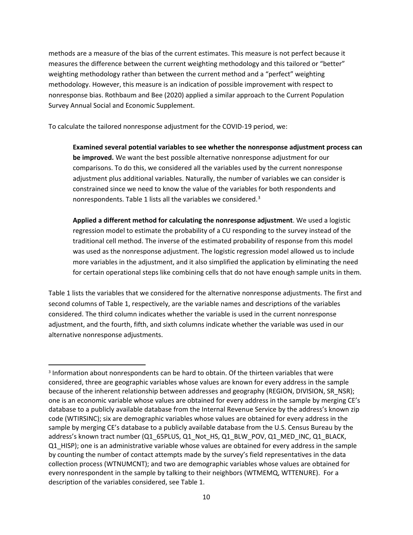methods are a measure of the bias of the current estimates. This measure is not perfect because it measures the difference between the current weighting methodology and this tailored or "better" weighting methodology rather than between the current method and a "perfect" weighting methodology. However, this measure is an indication of possible improvement with respect to nonresponse bias. Rothbaum and Bee (2020) applied a similar approach to the Current Population Survey Annual Social and Economic Supplement.

To calculate the tailored nonresponse adjustment for the COVID-19 period, we:

**Examined several potential variables to see whether the nonresponse adjustment process can be improved.** We want the best possible alternative nonresponse adjustment for our comparisons. To do this, we considered all the variables used by the current nonresponse adjustment plus additional variables. Naturally, the number of variables we can consider is constrained since we need to know the value of the variables for both respondents and nonrespondents[. Table 1](#page-10-0) lists all the variables we considered. $3$ 

**Applied a different method for calculating the nonresponse adjustment**. We used a logistic regression model to estimate the probability of a CU responding to the survey instead of the traditional cell method. The inverse of the estimated probability of response from this model was used as the nonresponse adjustment. The logistic regression model allowed us to include more variables in the adjustment, and it also simplified the application by eliminating the need for certain operational steps like combining cells that do not have enough sample units in them.

[Table 1](#page-10-0) lists the variables that we considered for the alternative nonresponse adjustments. The first and second columns of [Table 1,](#page-10-0) respectively, are the variable names and descriptions of the variables considered. The third column indicates whether the variable is used in the current nonresponse adjustment, and the fourth, fifth, and sixth columns indicate whether the variable was used in our alternative nonresponse adjustments.

<span id="page-9-0"></span><sup>3</sup> Information about nonrespondents can be hard to obtain. Of the thirteen variables that were considered, three are geographic variables whose values are known for every address in the sample because of the inherent relationship between addresses and geography (REGION, DIVISION, SR\_NSR); one is an economic variable whose values are obtained for every address in the sample by merging CE's database to a publicly available database from the Internal Revenue Service by the address's known zip code (WTIRSINC); six are demographic variables whose values are obtained for every address in the sample by merging CE's database to a publicly available database from the U.S. Census Bureau by the address's known tract number (Q1\_65PLUS, Q1\_Not\_HS, Q1\_BLW\_POV, Q1\_MED\_INC, Q1\_BLACK, Q1\_HISP); one is an administrative variable whose values are obtained for every address in the sample by counting the number of contact attempts made by the survey's field representatives in the data collection process (WTNUMCNT); and two are demographic variables whose values are obtained for every nonrespondent in the sample by talking to their neighbors (WTMEMQ, WTTENURE). For a description of the variables considered, see Table 1.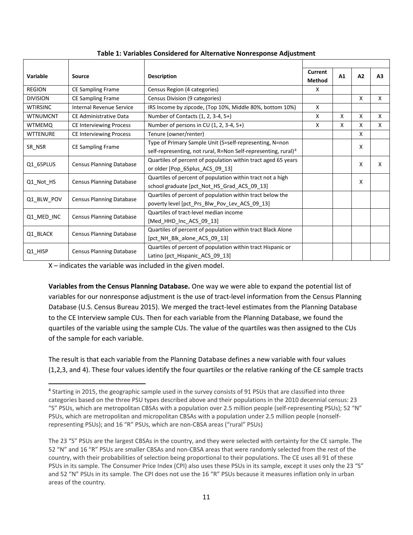<span id="page-10-0"></span>

| Variable        | Source                          | <b>Description</b>                                                         |   | A1 | A2 | A3 |  |
|-----------------|---------------------------------|----------------------------------------------------------------------------|---|----|----|----|--|
| <b>REGION</b>   | <b>CE Sampling Frame</b>        | Census Region (4 categories)                                               | X |    |    |    |  |
| <b>DIVISION</b> | <b>CE Sampling Frame</b>        | Census Division (9 categories)                                             |   |    | X  | X  |  |
| <b>WTIRSINC</b> | <b>Internal Revenue Service</b> | IRS Income by zipcode, (Top 10%, Middle 80%, bottom 10%)                   | X |    |    |    |  |
| <b>WTNUMCNT</b> | CE Administrative Data          | Number of Contacts (1, 2, 3-4, 5+)                                         | X | X  | X  | X  |  |
| <b>WTMEMO</b>   | <b>CE Interviewing Process</b>  | Number of persons in CU $(1, 2, 3-4, 5+)$                                  | X | X  | X  | X  |  |
| <b>WTTENURE</b> | <b>CE Interviewing Process</b>  | Tenure (owner/renter)                                                      |   |    | X  |    |  |
| SR NSR          |                                 | Type of Primary Sample Unit (S=self-representing, N=non                    |   | X  |    |    |  |
|                 | CE Sampling Frame               | self-representing, not rural, R=Non Self-representing, rural) <sup>4</sup> |   |    |    |    |  |
| Q1 65PLUS       | <b>Census Planning Database</b> | Quartiles of percent of population within tract aged 65 years              |   |    | X  | x  |  |
|                 |                                 | or older [Pop_65plus_ACS_09_13]                                            |   |    |    |    |  |
| Q1 Not HS       | <b>Census Planning Database</b> | Quartiles of percent of population within tract not a high                 | X |    |    |    |  |
|                 |                                 | school graduate [pct Not HS Grad ACS 09 13]                                |   |    |    |    |  |
| Q1_BLW_POV      | <b>Census Planning Database</b> | Quartiles of percent of population within tract below the                  |   |    |    |    |  |
|                 |                                 | poverty level [pct_Prs_Blw_Pov_Lev_ACS_09_13]                              |   |    |    |    |  |
| Q1_MED_INC      | <b>Census Planning Database</b> | Quartiles of tract-level median income                                     |   |    |    |    |  |
|                 |                                 | [Med HHD Inc ACS 09 13]                                                    |   |    |    |    |  |
| Q1 BLACK        | <b>Census Planning Database</b> | Quartiles of percent of population within tract Black Alone                |   |    |    |    |  |
|                 |                                 | [pct_NH_Blk_alone_ACS_09_13]                                               |   |    |    |    |  |
|                 | Census Planning Database        | Quartiles of percent of population within tract Hispanic or                |   |    |    |    |  |
| Q1 HISP         |                                 | Latino [pct_Hispanic_ACS_09_13]                                            |   |    |    |    |  |

# **Table 1: Variables Considered for Alternative Nonresponse Adjustment**

X – indicates the variable was included in the given model.

**Variables from the Census Planning Database.** One way we were able to expand the potential list of variables for our nonresponse adjustment is the use of tract-level information from the Census Planning Database (U.S. Census Bureau 2015). We merged the tract-level estimates from the Planning Database to the CE Interview sample CUs. Then for each variable from the Planning Database, we found the quartiles of the variable using the sample CUs. The value of the quartiles was then assigned to the CUs of the sample for each variable.

The result is that each variable from the Planning Database defines a new variable with four values (1,2,3, and 4). These four values identify the four quartiles or the relative ranking of the CE sample tracts

<span id="page-10-1"></span><sup>4</sup> Starting in 2015, the geographic sample used in the survey consists of 91 PSUs that are classified into three categories based on the three PSU types described above and their populations in the 2010 decennial census: 23 "S" PSUs, which are metropolitan CBSAs with a population over 2.5 million people (self-representing PSUs); 52 "N" PSUs, which are metropolitan and micropolitan CBSAs with a population under 2.5 million people (nonselfrepresenting PSUs); and 16 "R" PSUs, which are non-CBSA areas ("rural" PSUs)

The 23 "S" PSUs are the largest CBSAs in the country, and they were selected with certainty for the CE sample. The 52 "N" and 16 "R" PSUs are smaller CBSAs and non-CBSA areas that were randomly selected from the rest of the country, with their probabilities of selection being proportional to their populations. The CE uses all 91 of these PSUs in its sample. The Consumer Price Index (CPI) also uses these PSUs in its sample, except it uses only the 23 "S" and 52 "N" PSUs in its sample. The CPI does not use the 16 "R" PSUs because it measures inflation only in urban areas of the country.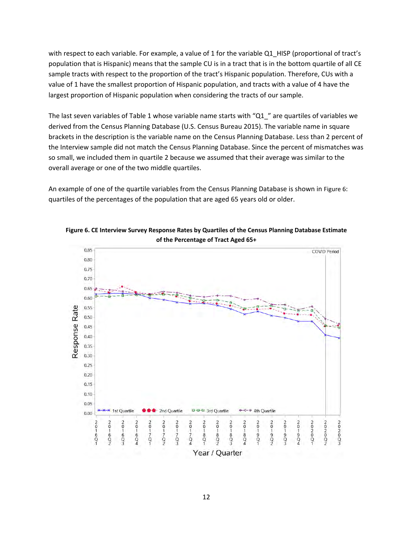with respect to each variable. For example, a value of 1 for the variable Q1\_HISP (proportional of tract's population that is Hispanic) means that the sample CU is in a tract that is in the bottom quartile of all CE sample tracts with respect to the proportion of the tract's Hispanic population. Therefore, CUs with a value of 1 have the smallest proportion of Hispanic population, and tracts with a value of 4 have the largest proportion of Hispanic population when considering the tracts of our sample.

The last seven variables of [Table 1](#page-10-0) whose variable name starts with "Q1\_" are quartiles of variables we derived from the Census Planning Database (U.S. Census Bureau 2015). The variable name in square brackets in the description is the variable name on the Census Planning Database. Less than 2 percent of the Interview sample did not match the Census Planning Database. Since the percent of mismatches was so small, we included them in quartile 2 because we assumed that their average was similar to the overall average or one of the two middle quartiles.

An example of one of the quartile variables from the Census Planning Database is shown in [Figure 6:](#page-11-0) quartiles of the percentages of the population that are aged 65 years old or older.



<span id="page-11-0"></span>**Figure 6. CE Interview Survey Response Rates by Quartiles of the Census Planning Database Estimate of the Percentage of Tract Aged 65+**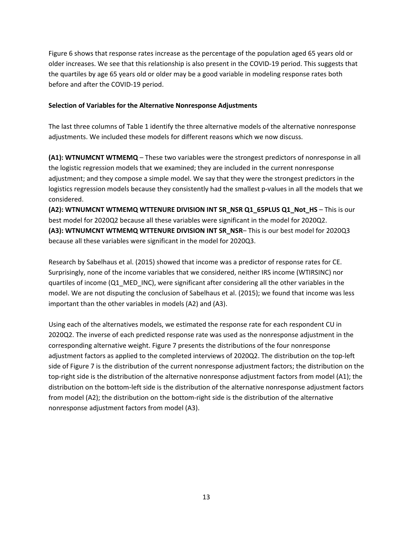[Figure 6](#page-11-0) shows that response rates increase as the percentage of the population aged 65 years old or older increases. We see that this relationship is also present in the COVID-19 period. This suggests that the quartiles by age 65 years old or older may be a good variable in modeling response rates both before and after the COVID-19 period.

# **Selection of Variables for the Alternative Nonresponse Adjustments**

The last three columns of [Table 1 i](#page-10-0)dentify the three alternative models of the alternative nonresponse adjustments. We included these models for different reasons which we now discuss.

**(A1): WTNUMCNT WTMEMQ** – These two variables were the strongest predictors of nonresponse in all the logistic regression models that we examined; they are included in the current nonresponse adjustment; and they compose a simple model. We say that they were the strongest predictors in the logistics regression models because they consistently had the smallest p-values in all the models that we considered.

**(A2): WTNUMCNT WTMEMQ WTTENURE DIVISION INT SR\_NSR Q1\_65PLUS Q1\_Not\_HS** – This is our best model for 2020Q2 because all these variables were significant in the model for 2020Q2. **(A3): WTNUMCNT WTMEMQ WTTENURE DIVISION INT SR\_NSR**– This is our best model for 2020Q3 because all these variables were significant in the model for 2020Q3.

Research by Sabelhaus et al. (2015) showed that income was a predictor of response rates for CE. Surprisingly, none of the income variables that we considered, neither IRS income (WTIRSINC) nor quartiles of income (Q1\_MED\_INC), were significant after considering all the other variables in the model. We are not disputing the conclusion of Sabelhaus et al. (2015); we found that income was less important than the other variables in models (A2) and (A3).

Using each of the alternatives models, we estimated the response rate for each respondent CU in 2020Q2. The inverse of each predicted response rate was used as the nonresponse adjustment in the corresponding alternative weight[. Figure 7](#page-13-0) presents the distributions of the four nonresponse adjustment factors as applied to the completed interviews of 2020Q2. The distribution on the top-left side of [Figure 7](#page-13-0) is the distribution of the current nonresponse adjustment factors; the distribution on the top-right side is the distribution of the alternative nonresponse adjustment factors from model (A1); the distribution on the bottom-left side is the distribution of the alternative nonresponse adjustment factors from model (A2); the distribution on the bottom-right side is the distribution of the alternative nonresponse adjustment factors from model (A3).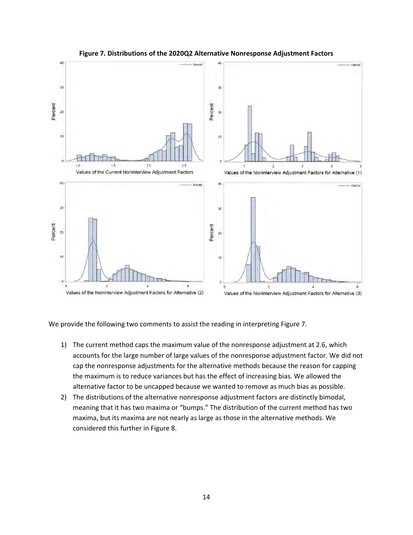<span id="page-13-0"></span>

#### **Figure 7. Distributions of the 2020Q2 Alternative Nonresponse Adjustment Factors**

We provide the following two comments to assist the reading in interpreting Figure 7.

- 1) The current method caps the maximum value of the nonresponse adjustment at 2.6, which accounts for the large number of large values of the nonresponse adjustment factor. We did not cap the nonresponse adjustments for the alternative methods because the reason for capping the maximum is to reduce variances but has the effect of increasing bias. We allowed the alternative factor to be uncapped because we wanted to remove as much bias as possible.
- 2) The distributions of the alternative nonresponse adjustment factors are distinctly bimodal, meaning that it has two maxima or "bumps." The distribution of the current method has two maxima, but its maxima are not nearly as large as those in the alternative methods. We considered this further i[n Figure 8.](#page-14-0)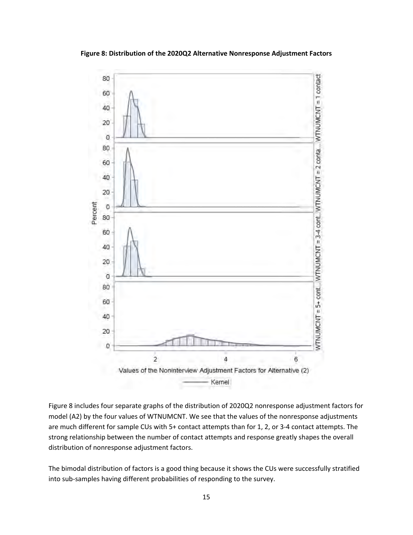<span id="page-14-0"></span>

**Figure 8: Distribution of the 2020Q2 Alternative Nonresponse Adjustment Factors**

[Figure 8](#page-14-0) includes four separate graphs of the distribution of 2020Q2 nonresponse adjustment factors for model (A2) by the four values of WTNUMCNT. We see that the values of the nonresponse adjustments are much different for sample CUs with 5+ contact attempts than for 1, 2, or 3-4 contact attempts. The strong relationship between the number of contact attempts and response greatly shapes the overall distribution of nonresponse adjustment factors.

The bimodal distribution of factors is a good thing because it shows the CUs were successfully stratified into sub-samples having different probabilities of responding to the survey.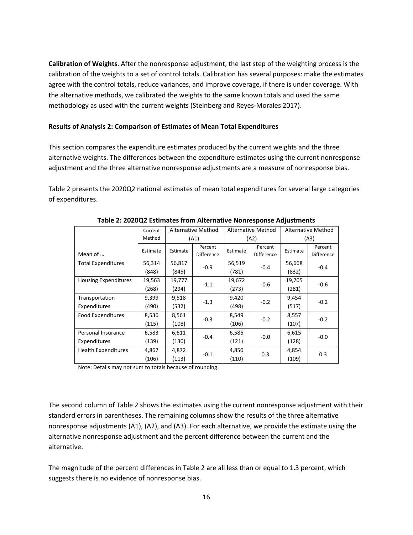**Calibration of Weights**. After the nonresponse adjustment, the last step of the weighting process is the calibration of the weights to a set of control totals. Calibration has several purposes: make the estimates agree with the control totals, reduce variances, and improve coverage, if there is under coverage. With the alternative methods, we calibrated the weights to the same known totals and used the same methodology as used with the current weights (Steinberg and Reyes-Morales 2017).

# **Results of Analysis 2: Comparison of Estimates of Mean Total Expenditures**

This section compares the expenditure estimates produced by the current weights and the three alternative weights. The differences between the expenditure estimates using the current nonresponse adjustment and the three alternative nonresponse adjustments are a measure of nonresponse bias.

[Table 2](#page-15-0) presents the 2020Q2 national estimates of mean total expenditures for several large categories of expenditures.

<span id="page-15-0"></span>

|                             | Current  | Alternative Method |            | <b>Alternative Method</b> |            | <b>Alternative Method</b> |                   |  |
|-----------------------------|----------|--------------------|------------|---------------------------|------------|---------------------------|-------------------|--|
| Method                      |          | (A1)               |            | (A2)                      |            | (A3)                      |                   |  |
|                             | Estimate | Estimate           | Percent    | Estimate                  | Percent    | Estimate                  | Percent           |  |
| Mean of                     |          |                    | Difference |                           | Difference |                           | <b>Difference</b> |  |
| <b>Total Expenditures</b>   | 56,314   | 56,817             | $-0.9$     | 56,519<br>$-0.4$<br>(781) |            | 56,668                    | $-0.4$            |  |
|                             | (848)    | (845)              |            |                           |            | (832)                     |                   |  |
| <b>Housing Expenditures</b> | 19,563   | 19,777             |            | 19,672                    | $-0.6$     | 19,705                    |                   |  |
|                             | (268)    | (294)              | $-1.1$     | (273)                     |            | (281)                     | $-0.6$            |  |
| Transportation              | 9,399    | 9,518              |            | 9,420                     |            | 9,454                     |                   |  |
| Expenditures                | (490)    | (532)              | $-1.3$     | (498)                     | $-0.2$     | (517)                     | $-0.2$            |  |
| <b>Food Expenditures</b>    | 8,536    | 8,561              |            | 8,549<br>$-0.2$           |            | 8,557                     | $-0.2$            |  |
|                             | (115)    | (108)              | $-0.3$     | (106)                     |            | (107)                     |                   |  |
| Personal Insurance          | 6,583    | 6,611              |            | 6,586                     | $-0.0$     | 6,615                     | $-0.0$            |  |
| Expenditures                | (139)    | (130)              | $-0.4$     | (121)                     |            | (128)                     |                   |  |
| <b>Health Expenditures</b>  | 4,867    | 4,872              |            | 4,850                     | 0.3        | 4,854                     | 0.3               |  |
|                             | (106)    | (113)              | $-0.1$     | (110)                     |            | (109)                     |                   |  |

#### **Table 2: 2020Q2 Estimates from Alternative Nonresponse Adjustments**

Note: Details may not sum to totals because of rounding.

The second column of [Table 2](#page-15-0) shows the estimates using the current nonresponse adjustment with their standard errors in parentheses. The remaining columns show the results of the three alternative nonresponse adjustments (A1), (A2), and (A3). For each alternative, we provide the estimate using the alternative nonresponse adjustment and the percent difference between the current and the alternative.

The magnitude of the percent differences in [Table 2](#page-15-0) are all less than or equal to 1.3 percent, which suggests there is no evidence of nonresponse bias.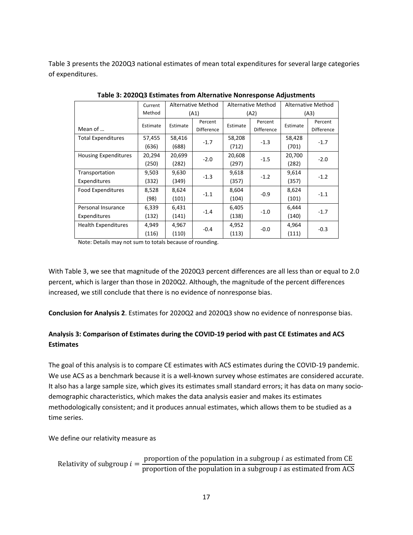[Table 3](#page-16-0) presents the 2020Q3 national estimates of mean total expenditures for several large categories of expenditures.

<span id="page-16-0"></span>

|                             | Current  | Alternative Method |            | <b>Alternative Method</b> |            | <b>Alternative Method</b> |                   |  |
|-----------------------------|----------|--------------------|------------|---------------------------|------------|---------------------------|-------------------|--|
|                             | Method   |                    | (A1)       |                           | (A2)       |                           | (A3)              |  |
|                             | Estimate | Estimate           | Percent    | Estimate                  | Percent    | Estimate                  | Percent           |  |
| Mean of                     |          |                    | Difference |                           | Difference |                           | <b>Difference</b> |  |
| <b>Total Expenditures</b>   | 57,455   | 58,416             | $-1.7$     | 58,208                    | $-1.3$     | 58,428                    | $-1.7$            |  |
|                             | (636)    | (688)              |            | (712)                     |            | (701)                     |                   |  |
| <b>Housing Expenditures</b> | 20,294   | 20,699             | $-2.0$     | 20,608                    | $-1.5$     | 20,700                    | $-2.0$            |  |
|                             | (250)    | (282)              |            | (297)                     |            | (282)                     |                   |  |
| Transportation              | 9,503    | 9,630              |            | 9,618                     | $-1.2$     | 9,614                     |                   |  |
| Expenditures                | (332)    | (349)              | $-1.3$     | (357)                     |            | (357)                     | $-1.2$            |  |
| Food Expenditures           | 8,528    | 8,624              | $-1.1$     | 8,604                     | $-0.9$     | 8,624                     | $-1.1$            |  |
|                             | (98)     | (101)              |            | (104)                     |            | (101)                     |                   |  |
| Personal Insurance          | 6,339    | 6,431              |            | 6,405                     |            |                           | $-1.7$            |  |
| Expenditures                | (132)    | (141)              | $-1.4$     | (138)                     | $-1.0$     | (140)                     |                   |  |
| <b>Health Expenditures</b>  | 4,949    | 4,967              |            | 4,952                     | $-0.0$     | 4,964                     | $-0.3$            |  |
|                             | (116)    | (110)              | $-0.4$     | (113)                     |            | (111)                     |                   |  |

**Table 3: 2020Q3 Estimates from Alternative Nonresponse Adjustments**

Note: Details may not sum to totals because of rounding.

With [Table 3,](#page-16-0) we see that magnitude of the 2020Q3 percent differences are all less than or equal to 2.0 percent, which is larger than those in 2020Q2. Although, the magnitude of the percent differences increased, we still conclude that there is no evidence of nonresponse bias.

**Conclusion for Analysis 2**. Estimates for 2020Q2 and 2020Q3 show no evidence of nonresponse bias.

# **Analysis 3: Comparison of Estimates during the COVID-19 period with past CE Estimates and ACS Estimates**

The goal of this analysis is to compare CE estimates with ACS estimates during the COVID-19 pandemic. We use ACS as a benchmark because it is a well-known survey whose estimates are considered accurate. It also has a large sample size, which gives its estimates small standard errors; it has data on many sociodemographic characteristics, which makes the data analysis easier and makes its estimates methodologically consistent; and it produces annual estimates, which allows them to be studied as a time series.

We define our relativity measure as

```
Relativity of subgroup i = \frac{\text{proportion of the population in a subgroup } i \text{ as estimated from CE}}{\text{proportion of the population in a subgroup } i \text{ as estimated from ACS}}
```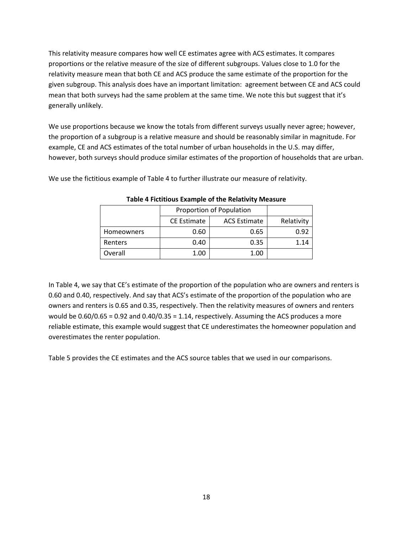This relativity measure compares how well CE estimates agree with ACS estimates. It compares proportions or the relative measure of the size of different subgroups. Values close to 1.0 for the relativity measure mean that both CE and ACS produce the same estimate of the proportion for the given subgroup. This analysis does have an important limitation: agreement between CE and ACS could mean that both surveys had the same problem at the same time. We note this but suggest that it's generally unlikely.

We use proportions because we know the totals from different surveys usually never agree; however, the proportion of a subgroup is a relative measure and should be reasonably similar in magnitude. For example, CE and ACS estimates of the total number of urban households in the U.S. may differ, however, both surveys should produce similar estimates of the proportion of households that are urban.

We use the fictitious example of Table 4 to further illustrate our measure of relativity.

|                   | Proportion of Population |                     |            |
|-------------------|--------------------------|---------------------|------------|
|                   | <b>CE Estimate</b>       | <b>ACS Estimate</b> | Relativity |
| <b>Homeowners</b> | 0.60                     | 0.65                | 0.92       |
| Renters           | 0.40                     | 0.35                | 1.14       |
| Overall           | 1.00                     | 1.00                |            |

**Table 4 Fictitious Example of the Relativity Measure**

In Table 4, we say that CE's estimate of the proportion of the population who are owners and renters is 0.60 and 0.40, respectively. And say that ACS's estimate of the proportion of the population who are owners and renters is 0.65 and 0.35, respectively. Then the relativity measures of owners and renters would be  $0.60/0.65 = 0.92$  and  $0.40/0.35 = 1.14$ , respectively. Assuming the ACS produces a more reliable estimate, this example would suggest that CE underestimates the homeowner population and overestimates the renter population.

Table 5 provides the CE estimates and the ACS source tables that we used in our comparisons.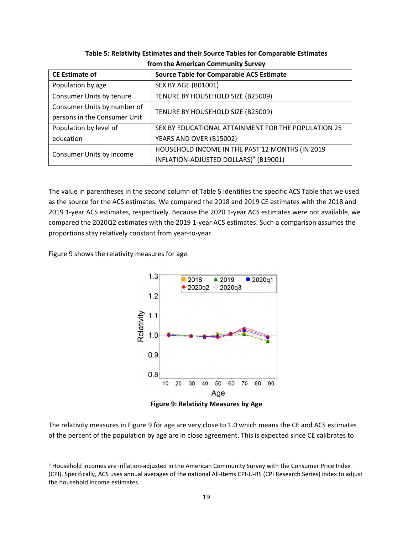<span id="page-18-0"></span>

| <b>CE Estimate of</b>        | <b>Source Table for Comparable ACS Estimate</b>     |  |  |  |
|------------------------------|-----------------------------------------------------|--|--|--|
| Population by age            | <b>SEX BY AGE (B01001)</b>                          |  |  |  |
| Consumer Units by tenure     | TENURE BY HOUSEHOLD SIZE (B25009)                   |  |  |  |
| Consumer Units by number of  | TENURE BY HOUSEHOLD SIZE (B25009)                   |  |  |  |
| persons in the Consumer Unit |                                                     |  |  |  |
| Population by level of       | SEX BY EDUCATIONAL ATTAINMENT FOR THE POPULATION 25 |  |  |  |
| education                    | YEARS AND OVER (B15002)                             |  |  |  |
| Consumer Units by income     | HOUSEHOLD INCOME IN THE PAST 12 MONTHS (IN 2019     |  |  |  |
|                              | INFLATION-ADJUSTED DOLLARS) <sup>5</sup> (B19001)   |  |  |  |

**Table 5: Relativity Estimates and their Source Tables for Comparable Estimates from the American Community Survey**

The value in parentheses in the second column of [Table 5](#page-18-0) identifies the specific ACS Table that we used as the source for the ACS estimates. We compared the 2018 and 2019 CE estimates with the 2018 and 2019 1-year ACS estimates, respectively. Because the 2020 1-year ACS estimates were not available, we compared the 2020Q2 estimates with the 2019 1-year ACS estimates. Such a comparison assumes the proportions stay relatively constant from year-to-year.

[Figure 9](#page-18-1) shows the relativity measures for age.



<span id="page-18-1"></span>The relativity measures i[n Figure 9](#page-18-1) for age are very close to 1.0 which means the CE and ACS estimates of the percent of the population by age are in close agreement. This is expected since CE calibrates to

<span id="page-18-2"></span><sup>5</sup> Household incomes are inflation-adjusted in the American Community Survey with the Consumer Price Index (CPI). Specifically, ACS uses annual averages of the national All-Items CPI-U-RS (CPI Research Series) index to adjust the household income estimates.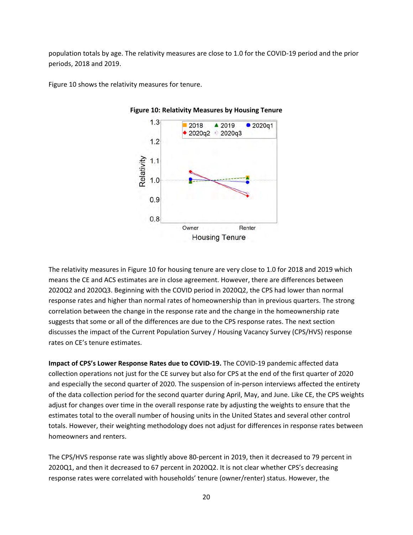population totals by age. The relativity measures are close to 1.0 for the COVID-19 period and the prior periods, 2018 and 2019.

<span id="page-19-0"></span>[Figure 10](#page-19-0) shows the relativity measures for tenure.



**Figure 10: Relativity Measures by Housing Tenure**

The relativity measures i[n Figure 10](#page-19-0) for housing tenure are very close to 1.0 for 2018 and 2019 which means the CE and ACS estimates are in close agreement. However, there are differences between 2020Q2 and 2020Q3. Beginning with the COVID period in 2020Q2, the CPS had lower than normal response rates and higher than normal rates of homeownership than in previous quarters. The strong correlation between the change in the response rate and the change in the homeownership rate suggests that some or all of the differences are due to the CPS response rates. The next section discusses the impact of the Current Population Survey / Housing Vacancy Survey (CPS/HVS) response rates on CE's tenure estimates.

**Impact of CPS's Lower Response Rates due to COVID-19.** The COVID-19 pandemic affected data collection operations not just for the CE survey but also for CPS at the end of the first quarter of 2020 and especially the second quarter of 2020. The suspension of in-person interviews affected the entirety of the data collection period for the second quarter during April, May, and June. Like CE, the CPS weights adjust for changes over time in the overall response rate by adjusting the weights to ensure that the estimates total to the overall number of housing units in the United States and several other control totals. However, their weighting methodology does not adjust for differences in response rates between homeowners and renters.

The CPS/HVS response rate was slightly above 80-percent in 2019, then it decreased to 79 percent in 2020Q1, and then it decreased to 67 percent in 2020Q2. It is not clear whether CPS's decreasing response rates were correlated with households' tenure (owner/renter) status. However, the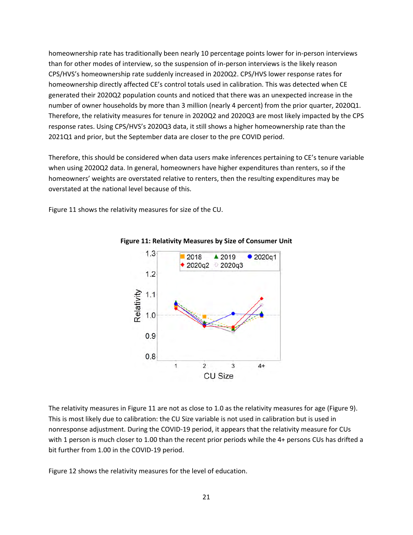homeownership rate has traditionally been nearly 10 percentage points lower for in-person interviews than for other modes of interview, so the suspension of in-person interviews is the likely reason CPS/HVS's homeownership rate suddenly increased in 2020Q2. CPS/HVS lower response rates for homeownership directly affected CE's control totals used in calibration. This was detected when CE generated their 2020Q2 population counts and noticed that there was an unexpected increase in the number of owner households by more than 3 million (nearly 4 percent) from the prior quarter, 2020Q1. Therefore, the relativity measures for tenure in 2020Q2 and 2020Q3 are most likely impacted by the CPS response rates. Using CPS/HVS's 2020Q3 data, it still shows a higher homeownership rate than the 2021Q1 and prior, but the September data are closer to the pre COVID period.

Therefore, this should be considered when data users make inferences pertaining to CE's tenure variable when using 2020Q2 data. In general, homeowners have higher expenditures than renters, so if the homeowners' weights are overstated relative to renters, then the resulting expenditures may be overstated at the national level because of this.

<span id="page-20-0"></span>[Figure 11](#page-20-0) shows the relativity measures for size of the CU.



**Figure 11: Relativity Measures by Size of Consumer Unit**

The relativity measures i[n Figure 11](#page-20-0) are not as close to 1.0 as the relativity measures for age (Figure 9). This is most likely due to calibration: the CU Size variable is not used in calibration but is used in nonresponse adjustment. During the COVID-19 period, it appears that the relativity measure for CUs with 1 person is much closer to 1.00 than the recent prior periods while the 4+ persons CUs has drifted a bit further from 1.00 in the COVID-19 period.

[Figure 12](#page-21-0) shows the relativity measures for the level of education.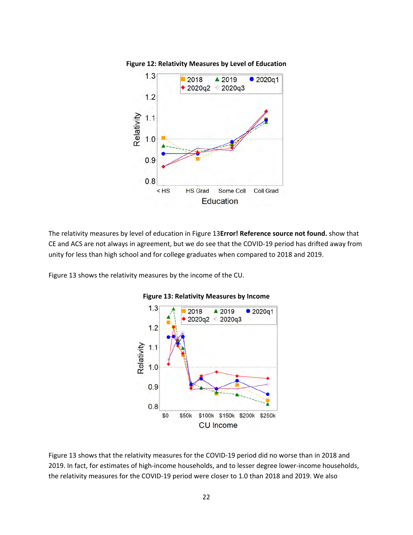<span id="page-21-0"></span>

The relativity measures by level of education in [Figure 13](#page-21-1)**Error! Reference source not found.** show that CE and ACS are not always in agreement, but we do see that the COVID-19 period has drifted away from unity for less than high school and for college graduates when compared to 2018 and 2019.

<span id="page-21-1"></span>[Figure 13](#page-21-1) shows the relativity measures by the income of the CU.



# **Figure 13: Relativity Measures by Income**

[Figure 13](#page-21-1) shows that the relativity measures for the COVID-19 period did no worse than in 2018 and 2019. In fact, for estimates of high-income households, and to lesser degree lower-income households, the relativity measures for the COVID-19 period were closer to 1.0 than 2018 and 2019. We also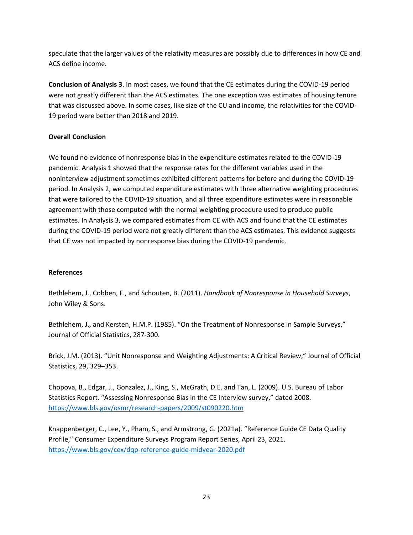speculate that the larger values of the relativity measures are possibly due to differences in how CE and ACS define income.

**Conclusion of Analysis 3**. In most cases, we found that the CE estimates during the COVID-19 period were not greatly different than the ACS estimates. The one exception was estimates of housing tenure that was discussed above. In some cases, like size of the CU and income, the relativities for the COVID-19 period were better than 2018 and 2019.

# **Overall Conclusion**

We found no evidence of nonresponse bias in the expenditure estimates related to the COVID-19 pandemic. Analysis 1 showed that the response rates for the different variables used in the noninterview adjustment sometimes exhibited different patterns for before and during the COVID-19 period. In Analysis 2, we computed expenditure estimates with three alternative weighting procedures that were tailored to the COVID-19 situation, and all three expenditure estimates were in reasonable agreement with those computed with the normal weighting procedure used to produce public estimates. In Analysis 3, we compared estimates from CE with ACS and found that the CE estimates during the COVID-19 period were not greatly different than the ACS estimates. This evidence suggests that CE was not impacted by nonresponse bias during the COVID-19 pandemic.

# **References**

Bethlehem, J., Cobben, F., and Schouten, B. (2011). *Handbook of Nonresponse in Household Surveys*, John Wiley & Sons.

Bethlehem, J., and Kersten, H.M.P. (1985). "On the Treatment of Nonresponse in Sample Surveys," Journal of Official Statistics, 287-300.

Brick, J.M. (2013). "Unit Nonresponse and Weighting Adjustments: A Critical Review," Journal of Official Statistics, 29, 329–353.

Chopova, B., Edgar, J., Gonzalez, J., King, S., McGrath, D.E. and Tan, L. (2009). U.S. Bureau of Labor Statistics Report. "Assessing Nonresponse Bias in the CE Interview survey," dated 2008. <https://www.bls.gov/osmr/research-papers/2009/st090220.htm>

Knappenberger, C., Lee, Y., Pham, S., and Armstrong, G. (2021a). "Reference Guide CE Data Quality Profile," Consumer Expenditure Surveys Program Report Series, April 23, 2021. <https://www.bls.gov/cex/dqp-reference-guide-midyear-2020.pdf>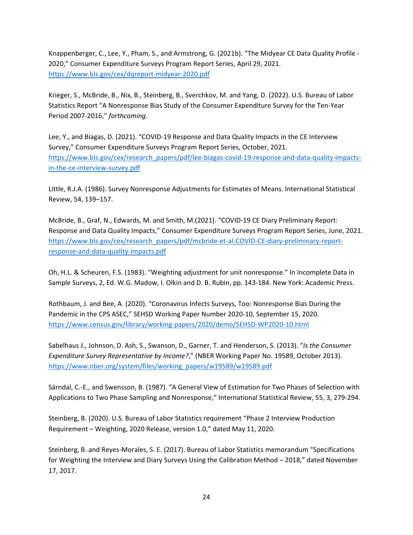Knappenberger, C., Lee, Y., Pham, S., and Armstrong, G. (2021b). "The Midyear CE Data Quality Profile - 2020," Consumer Expenditure Surveys Program Report Series, April 29, 2021. <https://www.bls.gov/cex/dqreport-midyear-2020.pdf>

Krieger, S., McBride, B., Nix, B., Steinberg, B., Sverchkov, M. and Yang, D. (2022). U.S. Bureau of Labor Statistics Report "A Nonresponse Bias Study of the Consumer Expenditure Survey for the Ten-Year Period 2007-2016," *forthcoming*.

Lee, Y., and Biagas, D. (2021). "COVID-19 Response and Data Quality Impacts in the CE Interview Survey," Consumer Expenditure Surveys Program Report Series, October, 2021. [https://www.bls.gov/cex/research\\_papers/pdf/lee-biagas-covid-19-response-and-data-quality-impacts](https://www.bls.gov/cex/research_papers/pdf/lee-biagas-covid-19-response-and-data-quality-impacts-in-the-ce-interview-survey.pdf)[in-the-ce-interview-survey.pdf](https://www.bls.gov/cex/research_papers/pdf/lee-biagas-covid-19-response-and-data-quality-impacts-in-the-ce-interview-survey.pdf)

Little, R.J.A. (1986). Survey Nonresponse Adjustments for Estimates of Means. International Statistical Review, 54, 139–157.

McBride, B., Graf, N., Edwards, M. and Smith, M.(2021). "COVID-19 CE Diary Preliminary Report: Response and Data Quality Impacts," Consumer Expenditure Surveys Program Report Series, June, 2021. [https://www.bls.gov/cex/research\\_papers/pdf/mcbride-et-al-COVID-CE-diary-preliminary-report](https://www.bls.gov/cex/research_papers/pdf/mcbride-et-al-COVID-CE-diary-preliminary-report-response-and-data-quality-impacts.pdf)[response-and-data-quality-impacts.pdf](https://www.bls.gov/cex/research_papers/pdf/mcbride-et-al-COVID-CE-diary-preliminary-report-response-and-data-quality-impacts.pdf)

Oh, H.L. & Scheuren, F.S. (1983). "Weighting adjustment for unit nonresponse." In Incomplete Data in Sample Surveys, 2, Ed. W.G. Madow, I. Olkin and D. B. Rubin, pp. 143-184. New York: Academic Press.

Rothbaum, J. and Bee, A. (2020). "Coronavirus Infects Surveys, Too: Nonresponse Bias During the Pandemic in the CPS ASEC," SEHSD Working Paper Number 2020-10, September 15, 2020. <https://www.census.gov/library/working-papers/2020/demo/SEHSD-WP2020-10.html>

Sabelhaus J., Johnson, D. Ash, S., Swanson, D., Garner, T. and Henderson, S. (2013). "*Is the Consumer Expenditure Survey Representative by Income?*," (NBER Working Paper No. 19589, October 2013). [https://www.nber.org/system/files/working\\_papers/w19589/w19589.pdf](https://www.nber.org/system/files/working_papers/w19589/w19589.pdf)

Sӓrndal, C.-E., and Swensson, B. (1987). "A General View of Estimation for Two Phases of Selection with Applications to Two Phase Sampling and Nonresponse," International Statistical Review, 55, 3, 279-294.

Steinberg, B. (2020). U.S. Bureau of Labor Statistics requirement "Phase 2 Interview Production Requirement – Weighting, 2020 Release, version 1.0," dated May 11, 2020.

Steinberg, B. and Reyes-Morales, S. E. (2017). Bureau of Labor Statistics memorandum "Specifications for Weighting the Interview and Diary Surveys Using the Calibration Method – 2018," dated November 17, 2017.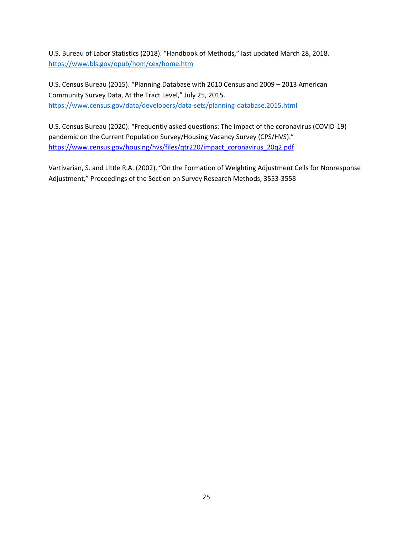U.S. Bureau of Labor Statistics (2018). "Handbook of Methods," last updated March 28, 2018. <https://www.bls.gov/opub/hom/cex/home.htm>

U.S. Census Bureau (2015). "Planning Database with 2010 Census and 2009 – 2013 American Community Survey Data, At the Tract Level," July 25, 2015. <https://www.census.gov/data/developers/data-sets/planning-database.2015.html>

U.S. Census Bureau (2020). "Frequently asked questions: The impact of the coronavirus (COVID-19) pandemic on the Current Population Survey/Housing Vacancy Survey (CPS/HVS)." [https://www.census.gov/housing/hvs/files/qtr220/impact\\_coronavirus\\_20q2.pdf](https://www.census.gov/housing/hvs/files/qtr220/impact_coronavirus_20q2.pdf)

Vartivarian, S. and Little R.A. (2002). "On the Formation of Weighting Adjustment Cells for Nonresponse Adjustment," Proceedings of the Section on Survey Research Methods, 3553-3558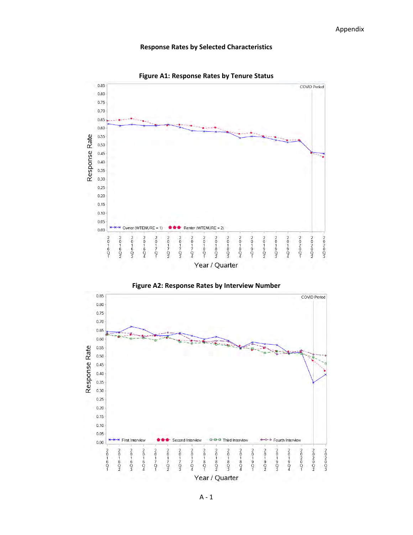**Figure A1: Response Rates by Tenure Status**







A - 1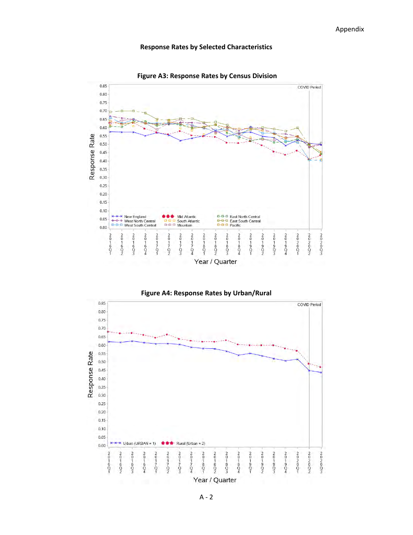





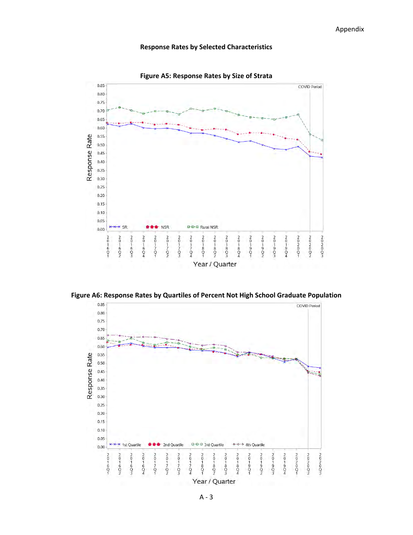



**Figure A6: Response Rates by Quartiles of Percent Not High School Graduate Population**

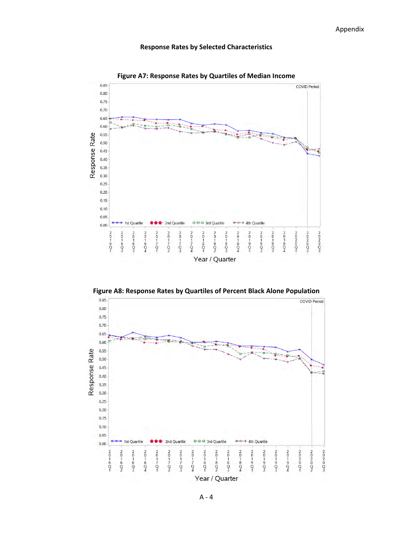

**Figure A7: Response Rates by Quartiles of Median Income**

**Figure A8: Response Rates by Quartiles of Percent Black Alone Population**



A - 4